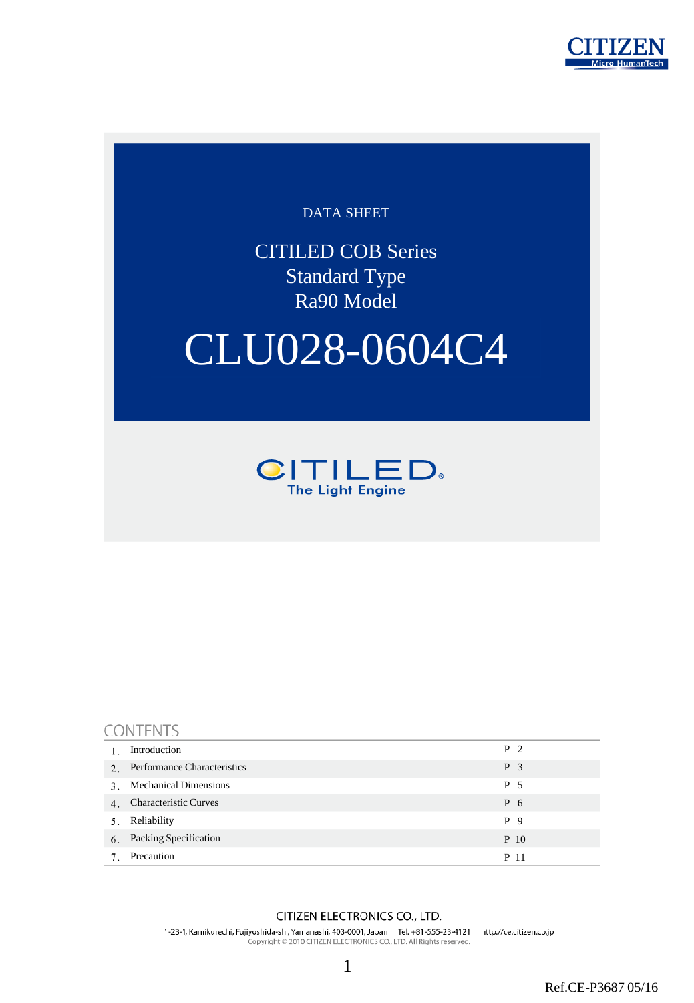

### DATA SHEET

CITILED COB Series Standard Type Ra90 Model

# CLU028-0604C4



|             | <b>CONTENTS</b>                    |                |  |  |  |  |  |  |  |
|-------------|------------------------------------|----------------|--|--|--|--|--|--|--|
|             | Introduction                       | P <sub>2</sub> |  |  |  |  |  |  |  |
| $2^{\circ}$ | <b>Performance Characteristics</b> | P <sub>3</sub> |  |  |  |  |  |  |  |
| 3.          | <b>Mechanical Dimensions</b>       | P 5            |  |  |  |  |  |  |  |
| 4.          | <b>Characteristic Curves</b>       | P 6            |  |  |  |  |  |  |  |
| 5.          | Reliability                        | P 9            |  |  |  |  |  |  |  |
| 6.          | Packing Specification              | P 10           |  |  |  |  |  |  |  |
|             | Precaution                         | P 11           |  |  |  |  |  |  |  |

#### CITIZEN ELECTRONICS CO., LTD.

1-23-1, Kamikurechi, Fujiyoshida-shi, Yamanashi, 403-0001, Japan Tel. +81-555-23-4121 http://ce.citizen.co.jp<br>Copyright © 2010 CITIZEN ELECTRONICS CO., LTD. All Rights reserved.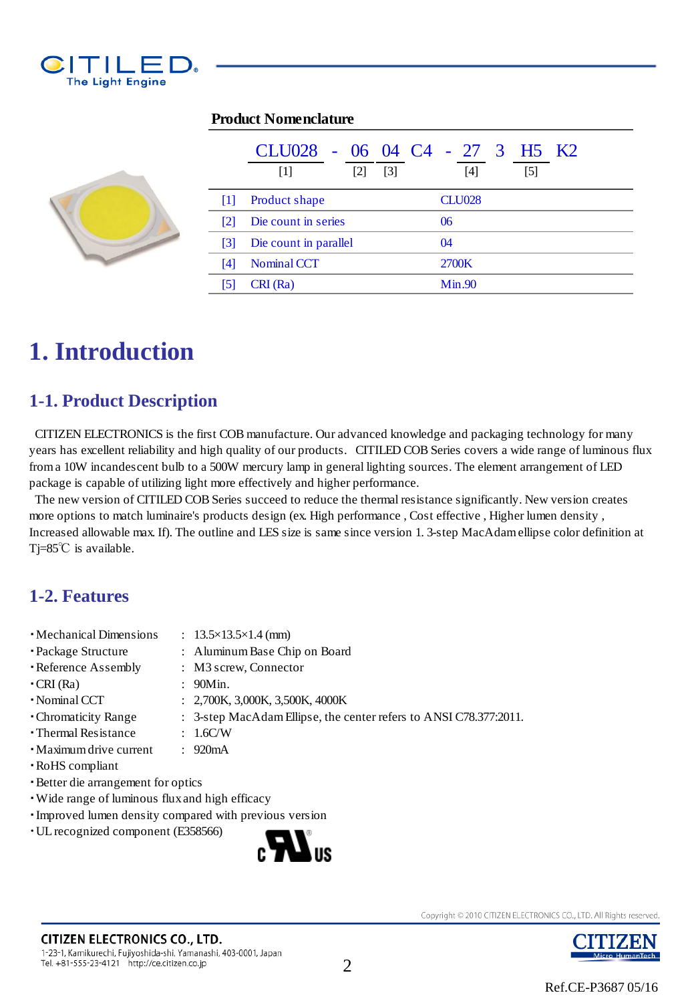

|                   | CLU028 - 06 04 C4 - 27 3 H5 K2<br>$[2]$<br>[3]<br>$\lceil 1 \rceil$ | $[4]$<br>[5]  |  |  |  |
|-------------------|---------------------------------------------------------------------|---------------|--|--|--|
| Ш                 | Product shape                                                       | <b>CLU028</b> |  |  |  |
| $\lceil 2 \rceil$ | Die count in series                                                 | 06            |  |  |  |
| $\lceil 3 \rceil$ | Die count in parallel                                               | 04            |  |  |  |
| [4]               | Nominal CCT                                                         | 2700K         |  |  |  |
|                   | CRI (Ra)                                                            | Min.90        |  |  |  |

#### **Product Nomenclature**



### **1-1. Product Description**

 CITIZEN ELECTRONICS is the first COB manufacture. Our advanced knowledge and packaging technology for many years has excellent reliability and high quality of our products. CITILED COB Series covers a wide range of luminous flux from a 10W incandescent bulb to a 500W mercury lamp in general lighting sources. The element arrangement of LED package is capable of utilizing light more effectively and higher performance.

 The new version of CITILED COB Series succeed to reduce the thermal resistance significantly. New version creates more options to match luminaire's products design (ex. High performance , Cost effective , Higher lumen density , Increased allowable max. If). The outline and LES size is same since version 1. 3-step MacAdam ellipse color definition at Tj=85℃ is available.

### **1-2. Features**

- Mechanical Dimensions : 13.5×13.5×1.4 (mm)
- ・Package Structure : Aluminum Base Chip on Board
- ・Reference Assembly : M3 screw, Connector
- $\cdot$  CRI (Ra)  $\cdot$  90Min.
- Nominal CCT : 2,700K, 3,000K, 3,500K, 4000K
- ・Chromaticity Range : 3-step MacAdam Ellipse, the center refers to ANSI C78.377:2011.
- ・Thermal Resistance : 1.6C/W
- ・Maximum drive current : 920mA
- ・RoHS compliant
- ・Better die arrangement for optics
- ・Wide range of luminous flux and high efficacy
- ・Improved lumen density compared with previous version
- ・UL recognized component (E358566)



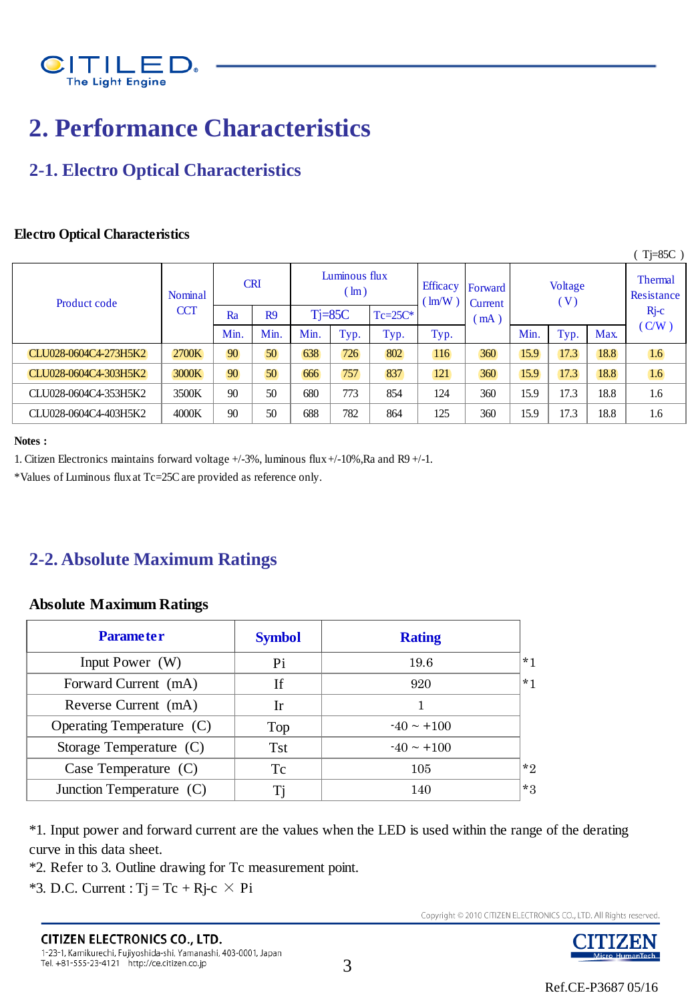

### **2. Performance Characteristics**

### **2-1. Electro Optical Characteristics**

#### **Electro Optical Characteristics**

|                       |                |            |                |                                |           |                                                                |              |                           |      |                              |       | $Tj=85C$ ) |
|-----------------------|----------------|------------|----------------|--------------------------------|-----------|----------------------------------------------------------------|--------------|---------------------------|------|------------------------------|-------|------------|
| Product code          | <b>Nominal</b> | <b>CRI</b> |                | Luminous flux<br>$\text{Im}$ ) |           | <b>Efficacy</b><br>Forward<br>$\text{Im}(\text{W})$<br>Current |              | Voltage<br>$(\mathbf{V})$ |      | <b>Thermal</b><br>Resistance |       |            |
|                       | <b>CCT</b>     | Ra         | R <sub>9</sub> |                                | $T = 85C$ | $Tc=25C*$                                                      | (mA)<br>Typ. |                           |      | $Rj-c$                       |       |            |
|                       |                | Min.       | Min.           | Min.                           | Typ.      | Typ.                                                           |              | Min.                      | Typ. | Max.                         | (C/W) |            |
| CLU028-0604C4-273H5K2 | 2700K          | 90         | 50             | 638                            | 726       | 802                                                            | 116          | 360                       | 15.9 | 17.3                         | 18.8  | 1.6        |
| CLU028-0604C4-303H5K2 | 3000K          | 90         | 50             | 666                            | 757       | 837                                                            | 121          | 360                       | 15.9 | 17.3                         | 18.8  | 1.6        |
| CLU028-0604C4-353H5K2 | 3500K          | 90         | 50             | 680                            | 773       | 854                                                            | 124          | 360                       | 15.9 | 17.3                         | 18.8  | 1.6        |
| CLU028-0604C4-403H5K2 | 4000K          | 90         | 50             | 688                            | 782       | 864                                                            | 125          | 360                       | 15.9 | 17.3                         | 18.8  | 1.6        |
|                       |                |            |                |                                |           |                                                                |              |                           |      |                              |       |            |

#### **Notes :**

1. Citizen Electronics maintains forward voltage +/-3%, luminous flux +/-10%,Ra and R9 +/-1.

\*Values of Luminous flux at Tc=25C are provided as reference only.

### **2-2. Absolute Maximum Ratings**

#### **Absolute Maximum Ratings**

| <b>Absolute Maximum Ratings</b> |               |                 |      |  |  |  |  |
|---------------------------------|---------------|-----------------|------|--|--|--|--|
| <b>Parameter</b>                | <b>Symbol</b> | <b>Rating</b>   |      |  |  |  |  |
| Input Power (W)                 | Pi            | 19.6            | $*1$ |  |  |  |  |
| Forward Current (mA)            | <b>If</b>     | 920             | $*1$ |  |  |  |  |
| Reverse Current (mA)            | <b>Ir</b>     |                 |      |  |  |  |  |
| Operating Temperature (C)       | Top           | $-40 \sim +100$ |      |  |  |  |  |
| Storage Temperature (C)         | <b>Tst</b>    | $-40 \sim +100$ |      |  |  |  |  |
| Case Temperature $(C)$          | Tc            | 105             | $*2$ |  |  |  |  |
| Junction Temperature (C)        | Ti            | 140             | $*3$ |  |  |  |  |

\*1. Input power and forward current are the values when the LED is used within the range of the derating curve in this data sheet.

\*2. Refer to 3. Outline drawing for Tc measurement point.

 $*3.$  D.C. Current : Tj = Tc + Rj-c  $\times$  Pi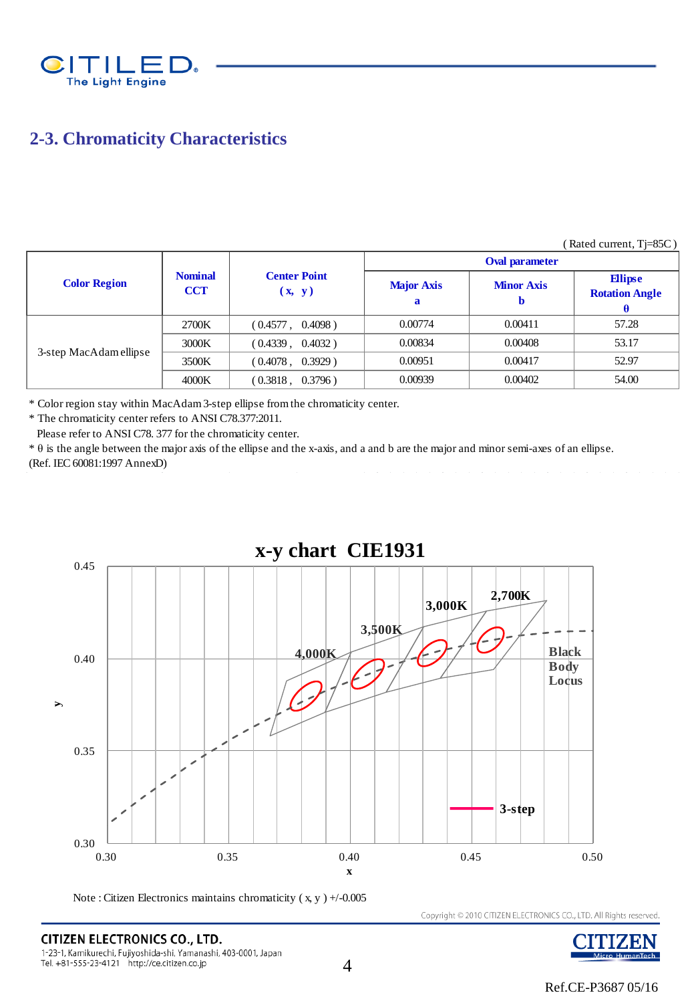

### **2-3. Chromaticity Characteristics**

|                        |                              |                               |                        |                        | Katuu vullult, $1 - 0.00$               |  |  |  |
|------------------------|------------------------------|-------------------------------|------------------------|------------------------|-----------------------------------------|--|--|--|
|                        | <b>Nominal</b><br><b>CCT</b> |                               | <b>Oval parameter</b>  |                        |                                         |  |  |  |
| <b>Color Region</b>    |                              | <b>Center Point</b><br>(x, y) | <b>Major Axis</b><br>a | <b>Minor Axis</b><br>D | <b>Ellipse</b><br><b>Rotation Angle</b> |  |  |  |
|                        | 2700K                        | (0.4577)<br>$0.4098$ )        | 0.00774                | 0.00411                | 57.28                                   |  |  |  |
|                        | 3000K                        | (0.4339, 0.4032)              | 0.00834                | 0.00408                | 53.17                                   |  |  |  |
| 3-step MacAdam ellipse | 3500K                        | (0.4078, 0.3929)              | 0.00951                | 0.00417                | 52.97                                   |  |  |  |
|                        | 4000K                        | $0.3796$ )<br>(0.3818,        | 0.00939                | 0.00402                | 54.00                                   |  |  |  |

\* Color region stay within MacAdam 3-step ellipse from the chromaticity center.

\* The chromaticity center refers to ANSI C78.377:2011.

Please refer to ANSI C78. 377 for the chromaticity center.

\* θ is the angle between the major axis of the ellipse and the x-axis, and a and b are the major and minor semi-axes of an ellipse. (Ref. IEC 60081:1997 AnnexD)



Note : Citizen Electronics maintains chromaticity ( x, y ) +/-0.005

Copyright © 2010 CITIZEN ELECTRONICS CO., LTD. All Rights reserved.



 $(D_{\text{atad}})$  current,  $Ti-95C$ )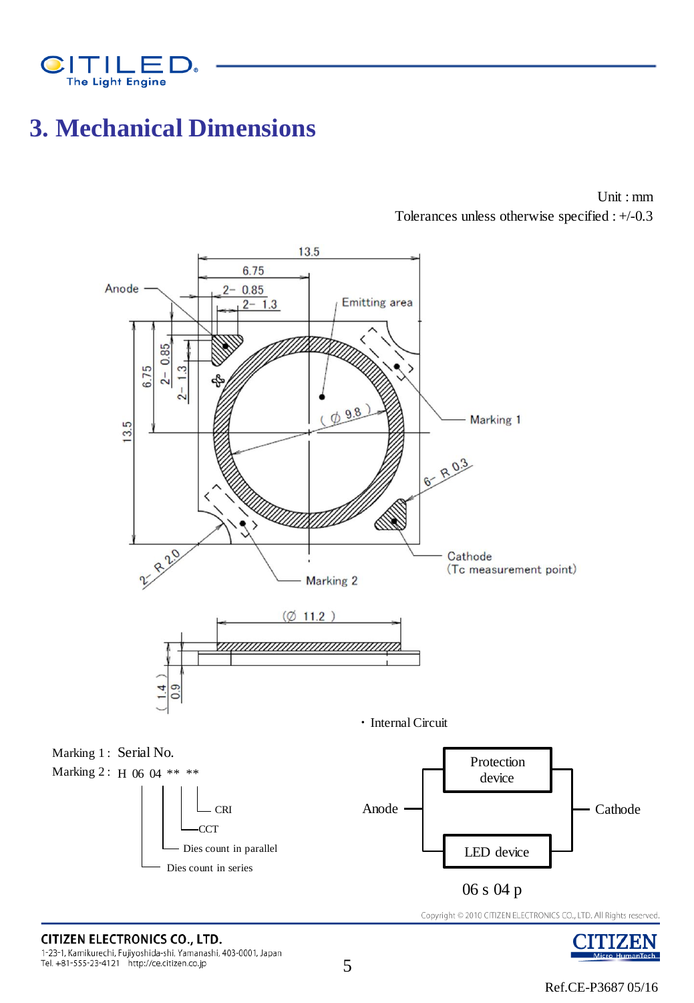

### **3. Mechanical Dimensions**

Unit : mm Tolerances unless otherwise specified : +/-0.3



**CITIZEN ELECTRONICS CO., LTD.** 1-23-1, Kamikurechi, Fujiyoshida-shi, Yamanashi, 403-0001, Japan Tel. +81-555-23-4121 http://ce.citizen.co.jp

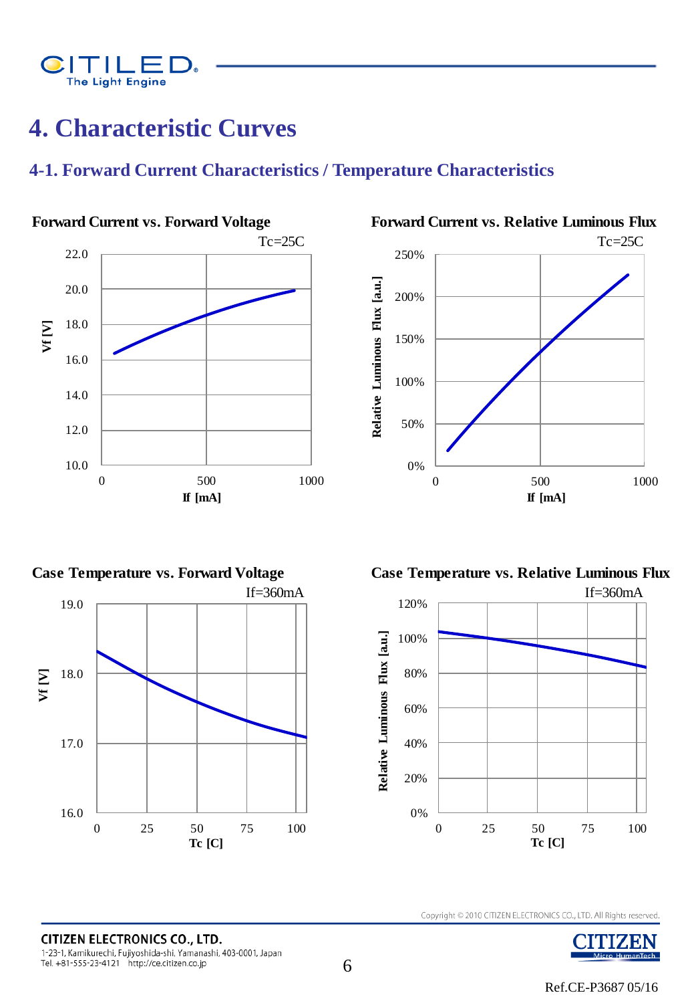

### **4. Characteristic Curves**

### **4-1. Forward Current Characteristics / Temperature Characteristics**









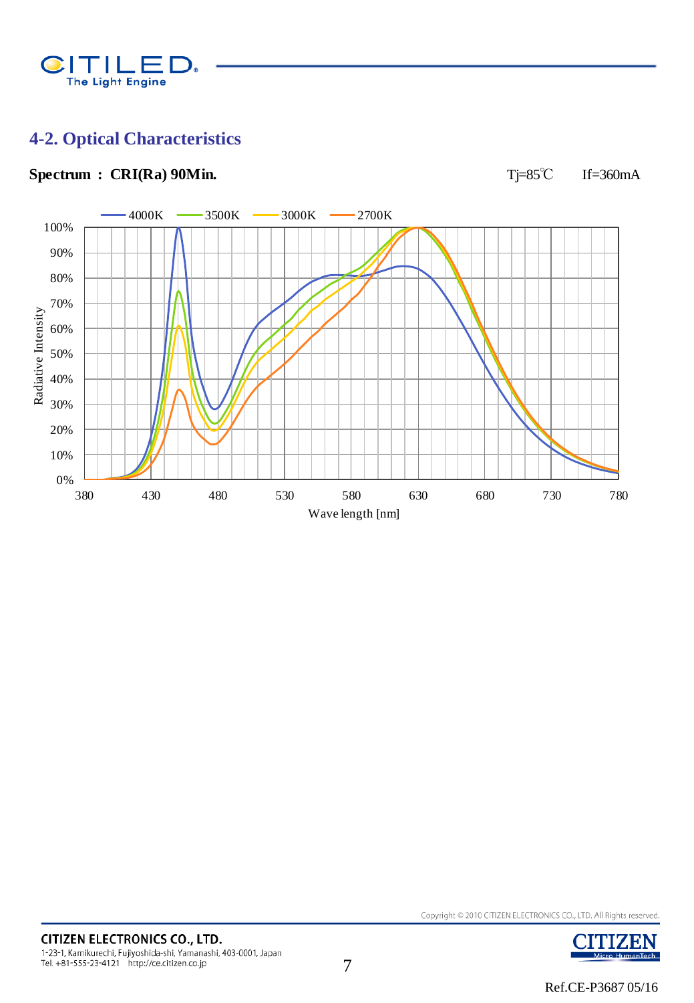

### **4-2. Optical Characteristics**

### Spectrum : CRI(Ra) 90Min. **T**j=85℃ If=360mA



**ITIZEN** 

Micro HumanTech

7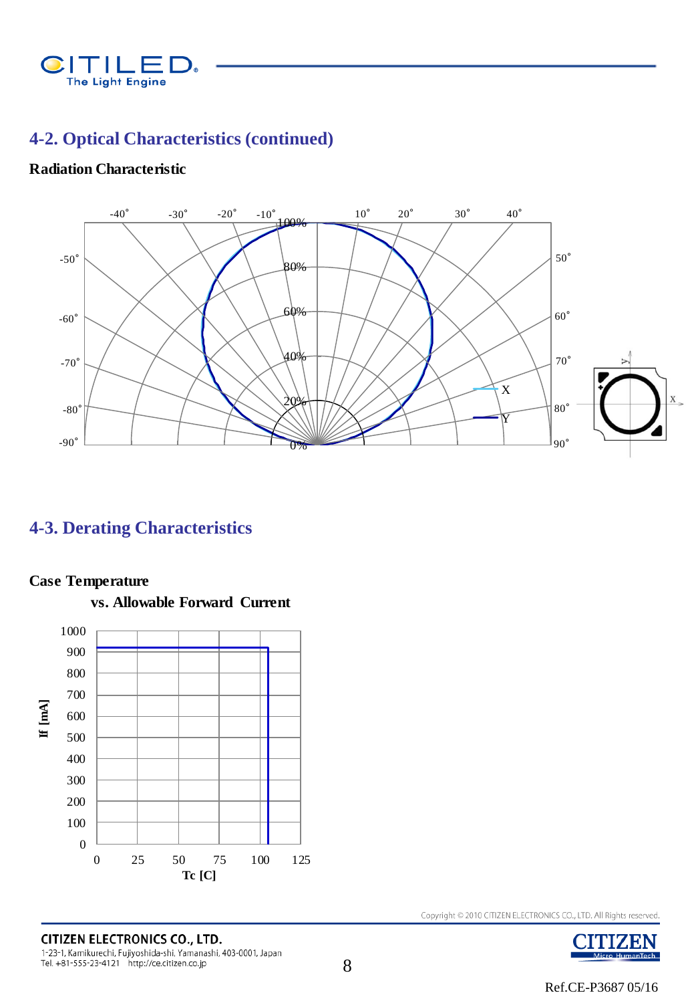

### **4-2. Optical Characteristics (continued)**

### **Radiation Characteristic**



### **4-3. Derating Characteristics**

### **Case Temperature**



 **vs. Allowable Forward Current**

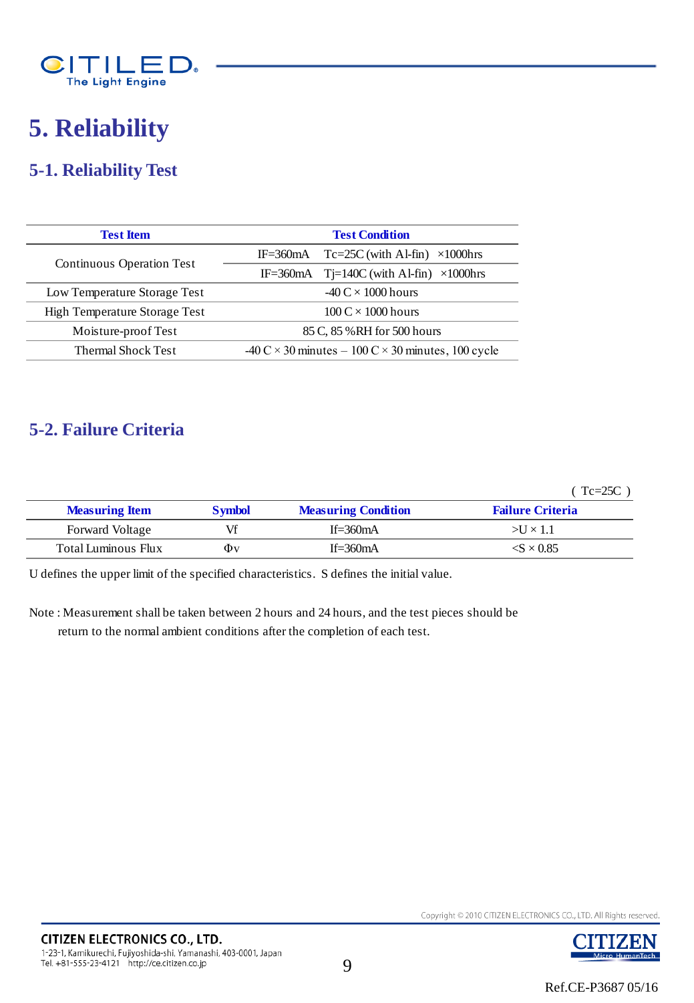

### **5. Reliability**

### **5-1. Reliability Test**

| <b>Test Item</b>                     | <b>Test Condition</b>                                                                           |  |  |  |
|--------------------------------------|-------------------------------------------------------------------------------------------------|--|--|--|
|                                      | $Tc=25C$ (with Al-fin) $\times$ 1000hrs<br>$IF = 360mA$                                         |  |  |  |
| Continuous Operation Test            | IF=360mA $Tj=140C$ (with Al-fin) $\times 1000$ hrs                                              |  |  |  |
| Low Temperature Storage Test         | $-40 \text{ C} \times 1000 \text{ hours}$                                                       |  |  |  |
| <b>High Temperature Storage Test</b> | $100 \text{ C} \times 1000 \text{ hours}$                                                       |  |  |  |
| Moisture-proof Test                  | 85 C, 85 % RH for 500 hours                                                                     |  |  |  |
| <b>Thermal Shock Test</b>            | $-40 \text{ C} \times 30 \text{ minutes} - 100 \text{ C} \times 30 \text{ minutes}$ , 100 cycle |  |  |  |

### **5-2. Failure Criteria**

( Tc=25C )

|                        |               |                            | $Tc=25C$                        |
|------------------------|---------------|----------------------------|---------------------------------|
| <b>Measuring Item</b>  | <b>Symbol</b> | <b>Measuring Condition</b> | <b>Failure Criteria</b>         |
| <b>Forward Voltage</b> | Vf            | If= $360mA$                | $>U \times 1.1$                 |
| Total Luminous Flux    | Φv            | If= $360mA$                | $\langle S \times 0.85 \rangle$ |
|                        |               |                            |                                 |

U defines the upper limit of the specified characteristics. S defines the initial value.

Note : Measurement shall be taken between 2 hours and 24 hours, and the test pieces should be

return to the normal ambient conditions after the completion of each test.

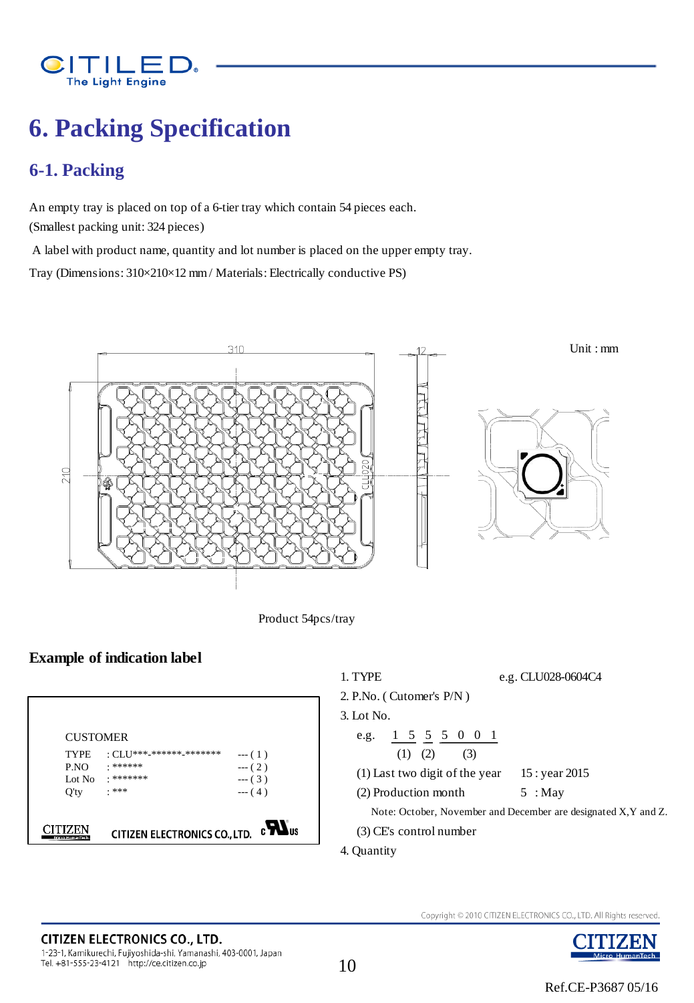

## **6. Packing Specification**

### **6-1. Packing**

An empty tray is placed on top of a 6-tier tray which contain 54 pieces each. (Smallest packing unit: 324 pieces)

A label with product name, quantity and lot number is placed on the upper empty tray.

Tray (Dimensions: 310×210×12 mm / Materials: Electrically conductive PS)



Product 54pcs/tray

### **Example of indication label**



Copyright © 2010 CITIZEN ELECTRONICS CO., LTD. All Rights reserved.

JUUZEN

Micro HumanTech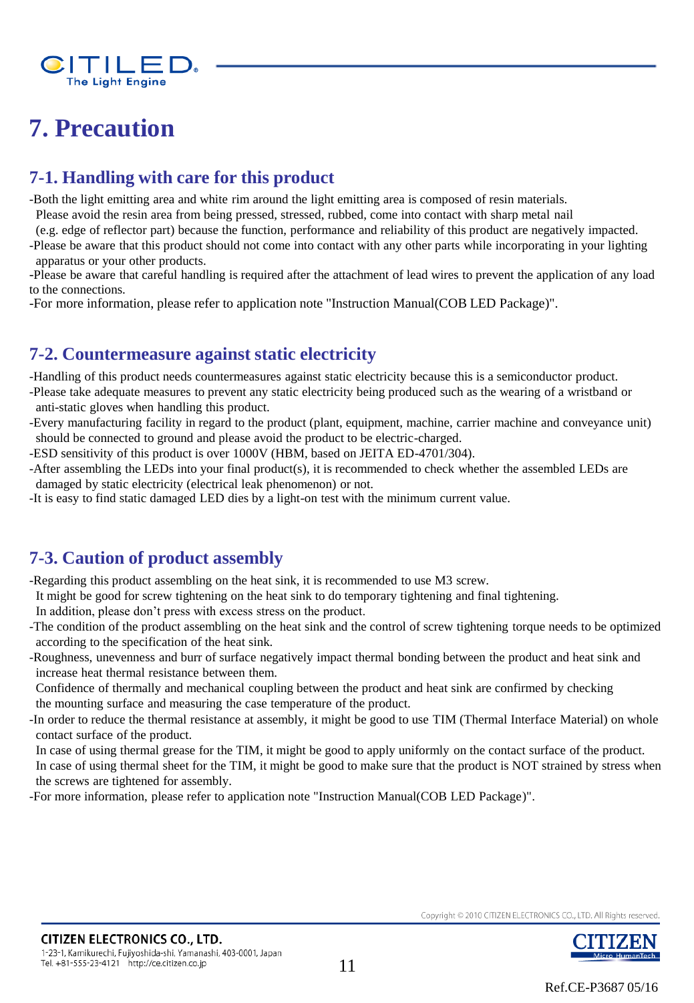

### **7. Precaution**

### **7-1. Handling with care for this product**

-Both the light emitting area and white rim around the light emitting area is composed of resin materials.

Please avoid the resin area from being pressed, stressed, rubbed, come into contact with sharp metal nail

(e.g. edge of reflector part) because the function, performance and reliability of this product are negatively impacted.

-Please be aware that this product should not come into contact with any other parts while incorporating in your lighting apparatus or your other products.

-Please be aware that careful handling is required after the attachment of lead wires to prevent the application of any load to the connections.

-For more information, please refer to application note "Instruction Manual(COB LED Package)".

### **7-2. Countermeasure against static electricity**

-Handling of this product needs countermeasures against static electricity because this is a semiconductor product. -Please take adequate measures to prevent any static electricity being produced such as the wearing of a wristband or

- anti-static gloves when handling this product.
- -Every manufacturing facility in regard to the product (plant, equipment, machine, carrier machine and conveyance unit) should be connected to ground and please avoid the product to be electric-charged.
- -ESD sensitivity of this product is over 1000V (HBM, based on JEITA ED-4701/304).
- -After assembling the LEDs into your final product(s), it is recommended to check whether the assembled LEDs are damaged by static electricity (electrical leak phenomenon) or not.
- -It is easy to find static damaged LED dies by a light-on test with the minimum current value.

### **7-3. Caution of product assembly**

-Regarding this product assembling on the heat sink, it is recommended to use M3 screw.

- It might be good for screw tightening on the heat sink to do temporary tightening and final tightening.
- In addition, please don't press with excess stress on the product.
- -The condition of the product assembling on the heat sink and the control of screw tightening torque needs to be optimized according to the specification of the heat sink.
- -Roughness, unevenness and burr of surface negatively impact thermal bonding between the product and heat sink and increase heat thermal resistance between them.

Confidence of thermally and mechanical coupling between the product and heat sink are confirmed by checking the mounting surface and measuring the case temperature of the product.

- -In order to reduce the thermal resistance at assembly, it might be good to use TIM (Thermal Interface Material) on whole contact surface of the product.
- In case of using thermal grease for the TIM, it might be good to apply uniformly on the contact surface of the product. In case of using thermal sheet for the TIM, it might be good to make sure that the product is NOT strained by stress when the screws are tightened for assembly.

-For more information, please refer to application note "Instruction Manual(COB LED Package)".

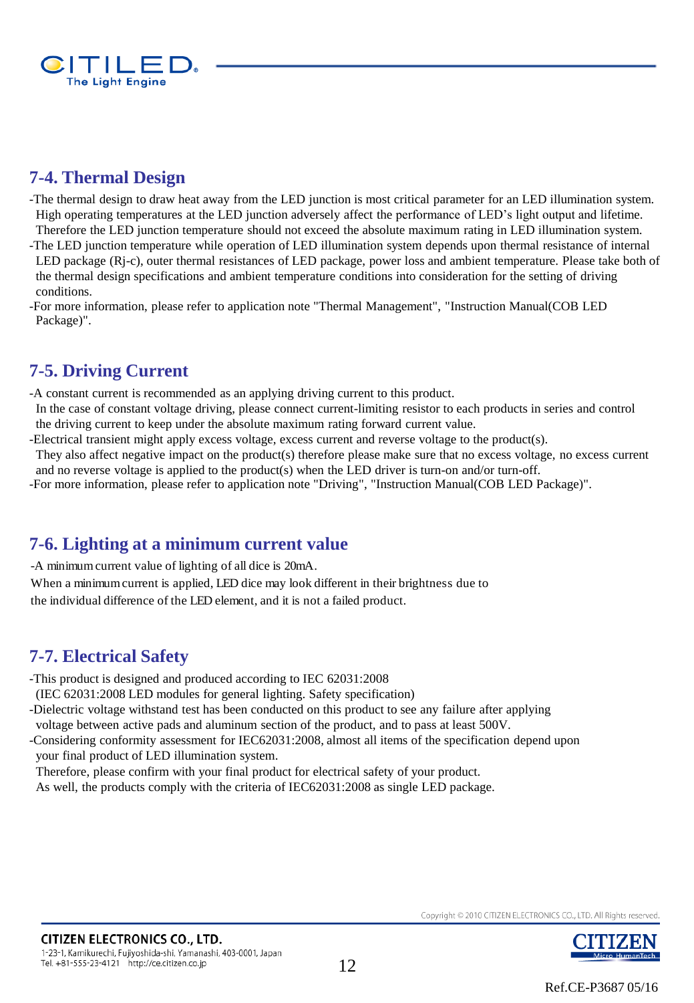

### **7-4. Thermal Design**

-The thermal design to draw heat away from the LED junction is most critical parameter for an LED illumination system. High operating temperatures at the LED junction adversely affect the performance of LED's light output and lifetime. Therefore the LED junction temperature should not exceed the absolute maximum rating in LED illumination system.

-The LED junction temperature while operation of LED illumination system depends upon thermal resistance of internal LED package (Rj-c), outer thermal resistances of LED package, power loss and ambient temperature. Please take both of the thermal design specifications and ambient temperature conditions into consideration for the setting of driving conditions.

-For more information, please refer to application note "Thermal Management", "Instruction Manual(COB LED Package)".

### **7-5. Driving Current**

-A constant current is recommended as an applying driving current to this product.

 In the case of constant voltage driving, please connect current-limiting resistor to each products in series and control the driving current to keep under the absolute maximum rating forward current value.

-Electrical transient might apply excess voltage, excess current and reverse voltage to the product(s).

They also affect negative impact on the product(s) therefore please make sure that no excess voltage, no excess current and no reverse voltage is applied to the product(s) when the LED driver is turn-on and/or turn-off.

-For more information, please refer to application note "Driving", "Instruction Manual(COB LED Package)".

### **7-6. Lighting at a minimum current value**

-A minimum current value of lighting of all dice is 20mA.

When a minimum current is applied, LED dice may look different in their brightness due to the individual difference of the LED element, and it is not a failed product.

### **7-7. Electrical Safety**

-This product is designed and produced according to IEC 62031:2008

(IEC 62031:2008 LED modules for general lighting. Safety specification)

-Dielectric voltage withstand test has been conducted on this product to see any failure after applying

voltage between active pads and aluminum section of the product, and to pass at least 500V.

-Considering conformity assessment for IEC62031:2008, almost all items of the specification depend upon your final product of LED illumination system.

Therefore, please confirm with your final product for electrical safety of your product.

As well, the products comply with the criteria of IEC62031:2008 as single LED package.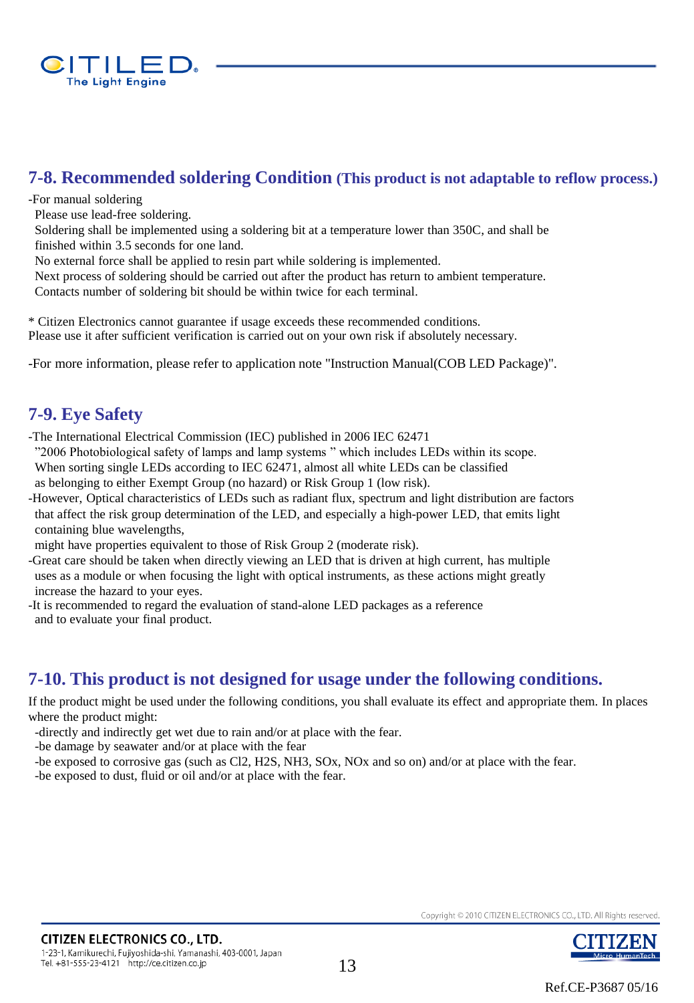

### **7-8. Recommended soldering Condition (This product is not adaptable to reflow process.)**

-For manual soldering

Please use lead-free soldering.

 Soldering shall be implemented using a soldering bit at a temperature lower than 350C, and shall be finished within 3.5 seconds for one land.

No external force shall be applied to resin part while soldering is implemented.

 Next process of soldering should be carried out after the product has return to ambient temperature. Contacts number of soldering bit should be within twice for each terminal.

\* Citizen Electronics cannot guarantee if usage exceeds these recommended conditions. Please use it after sufficient verification is carried out on your own risk if absolutely necessary.

-For more information, please refer to application note "Instruction Manual(COB LED Package)".

### **7-9. Eye Safety**

-The International Electrical Commission (IEC) published in 2006 IEC 62471

"2006 Photobiological safety of lamps and lamp systems " which includes LEDs within its scope.

 When sorting single LEDs according to IEC 62471, almost all white LEDs can be classified as belonging to either Exempt Group (no hazard) or Risk Group 1 (low risk).

-However, Optical characteristics of LEDs such as radiant flux, spectrum and light distribution are factors that affect the risk group determination of the LED, and especially a high-power LED, that emits light containing blue wavelengths,

might have properties equivalent to those of Risk Group 2 (moderate risk).

-Great care should be taken when directly viewing an LED that is driven at high current, has multiple uses as a module or when focusing the light with optical instruments, as these actions might greatly increase the hazard to your eyes.

-It is recommended to regard the evaluation of stand-alone LED packages as a reference and to evaluate your final product.

### **7-10. This product is not designed for usage under the following conditions.**

If the product might be used under the following conditions, you shall evaluate its effect and appropriate them. In places where the product might:

-directly and indirectly get wet due to rain and/or at place with the fear.

-be damage by seawater and/or at place with the fear

-be exposed to corrosive gas (such as Cl2, H2S, NH3, SOx, NOx and so on) and/or at place with the fear.

-be exposed to dust, fluid or oil and/or at place with the fear.

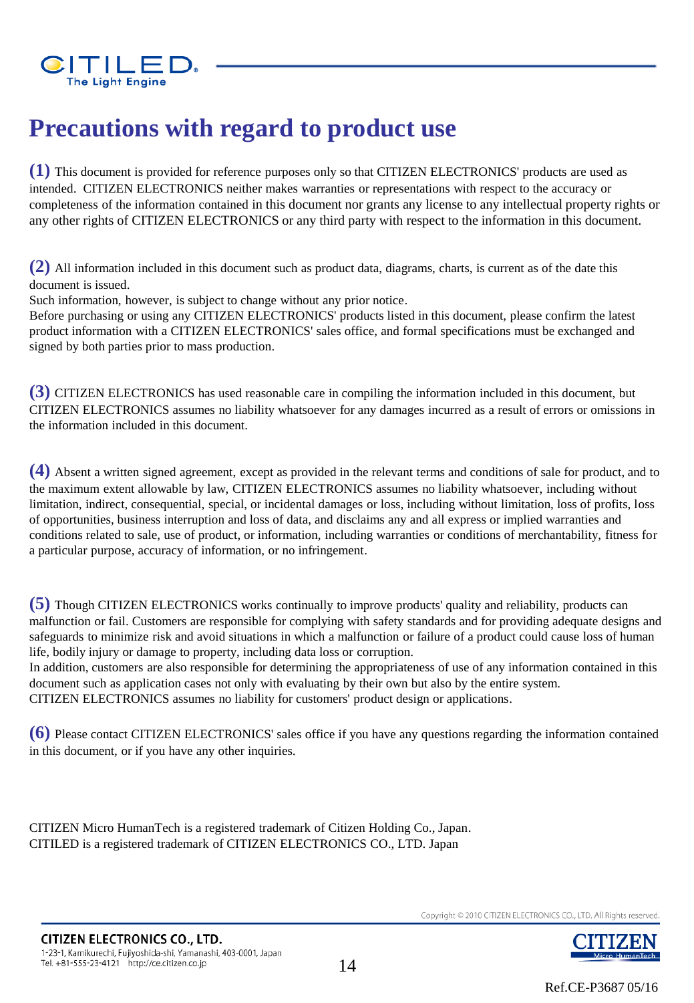

### **Precautions with regard to product use**

**(1)** This document is provided for reference purposes only so that CITIZEN ELECTRONICS' products are used as intended. CITIZEN ELECTRONICS neither makes warranties or representations with respect to the accuracy or completeness of the information contained in this document nor grants any license to any intellectual property rights or any other rights of CITIZEN ELECTRONICS or any third party with respect to the information in this document.

**(2)** All information included in this document such as product data, diagrams, charts, is current as of the date this document is issued.

Such information, however, is subject to change without any prior notice.

Before purchasing or using any CITIZEN ELECTRONICS' products listed in this document, please confirm the latest product information with a CITIZEN ELECTRONICS' sales office, and formal specifications must be exchanged and signed by both parties prior to mass production.

**(3)** CITIZEN ELECTRONICS has used reasonable care in compiling the information included in this document, but CITIZEN ELECTRONICS assumes no liability whatsoever for any damages incurred as a result of errors or omissions in the information included in this document.

**(4)** Absent a written signed agreement, except as provided in the relevant terms and conditions of sale for product, and to the maximum extent allowable by law, CITIZEN ELECTRONICS assumes no liability whatsoever, including without limitation, indirect, consequential, special, or incidental damages or loss, including without limitation, loss of profits, loss of opportunities, business interruption and loss of data, and disclaims any and all express or implied warranties and conditions related to sale, use of product, or information, including warranties or conditions of merchantability, fitness for a particular purpose, accuracy of information, or no infringement.

**(5)** Though CITIZEN ELECTRONICS works continually to improve products' quality and reliability, products can malfunction or fail. Customers are responsible for complying with safety standards and for providing adequate designs and safeguards to minimize risk and avoid situations in which a malfunction or failure of a product could cause loss of human life, bodily injury or damage to property, including data loss or corruption.

In addition, customers are also responsible for determining the appropriateness of use of any information contained in this document such as application cases not only with evaluating by their own but also by the entire system. CITIZEN ELECTRONICS assumes no liability for customers' product design or applications.

**(6)** Please contact CITIZEN ELECTRONICS' sales office if you have any questions regarding the information contained in this document, or if you have any other inquiries.

CITIZEN Micro HumanTech is a registered trademark of Citizen Holding Co., Japan. CITILED is a registered trademark of CITIZEN ELECTRONICS CO., LTD. Japan



JTIZEN

Micro HumanTech